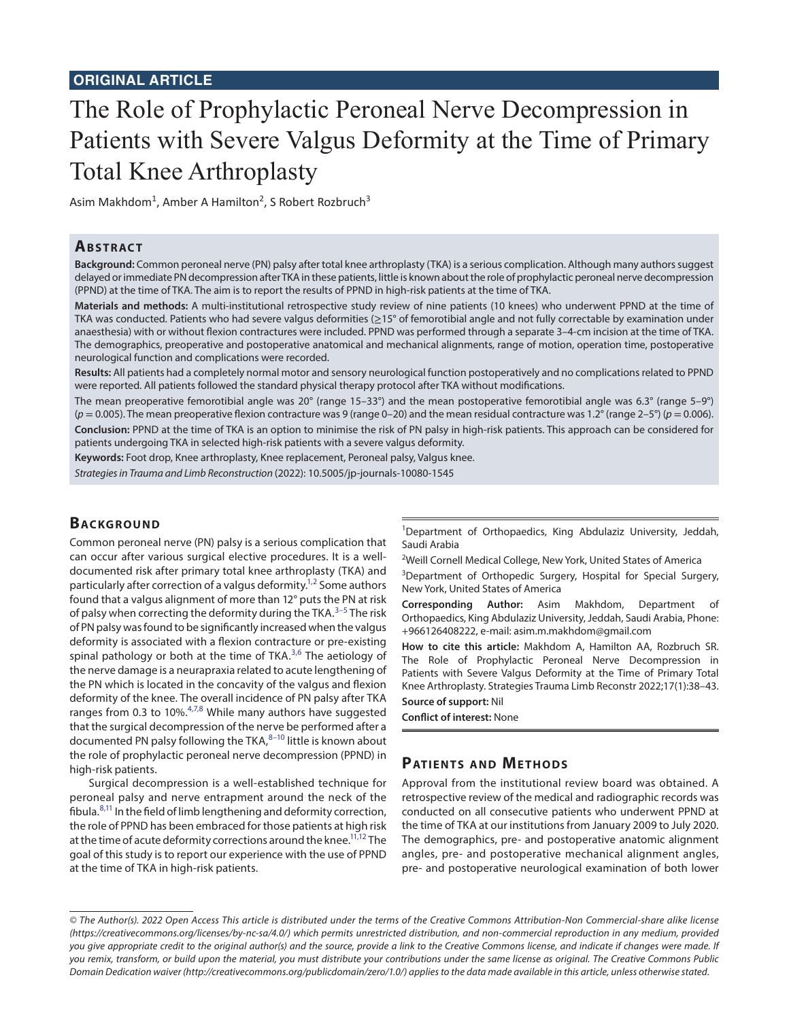# The Role of Prophylactic Peroneal Nerve Decompression in Patients with Severe Valgus Deformity at the Time of Primary Total Knee Arthroplasty

Asim Makhdom<sup>1</sup>, Amber A Hamilton<sup>2</sup>, S Robert Rozbruch<sup>3</sup>

## **ABSTRACT**

**Background:** Common peroneal nerve (PN) palsy after total knee arthroplasty (TKA) is a serious complication. Although many authors suggest delayed or immediate PN decompression after TKA in these patients, little is known about the role of prophylactic peroneal nerve decompression (PPND) at the time of TKA. The aim is to report the results of PPND in high-risk patients at the time of TKA.

**Materials and methods:** A multi-institutional retrospective study review of nine patients (10 knees) who underwent PPND at the time of TKA was conducted. Patients who had severe valgus deformities (≥15° of femorotibial angle and not fully correctable by examination under anaesthesia) with or without flexion contractures were included. PPND was performed through a separate 3–4-cm incision at the time of TKA. The demographics, preoperative and postoperative anatomical and mechanical alignments, range of motion, operation time, postoperative neurological function and complications were recorded.

**Results:** All patients had a completely normal motor and sensory neurological function postoperatively and no complications related to PPND were reported. All patients followed the standard physical therapy protocol after TKA without modifications.

The mean preoperative femorotibial angle was 20 $^{\circ}$  (range 15–33 $^{\circ}$ ) and the mean postoperative femorotibial angle was 6.3 $^{\circ}$  (range 5–9 $^{\circ}$ )  $(p = 0.005)$ . The mean preoperative flexion contracture was 9 (range 0–20) and the mean residual contracture was 1.2° (range 2–5°) ( $p = 0.006$ ). **Conclusion:** PPND at the time of TKA is an option to minimise the risk of PN palsy in high-risk patients. This approach can be considered for patients undergoing TKA in selected high-risk patients with a severe valgus deformity.

**Keywords:** Foot drop, Knee arthroplasty, Knee replacement, Peroneal palsy, Valgus knee.

*Strategies in Trauma and Limb Reconstruction* (2022): 10.5005/jp-journals-10080-1545

## **BACKGROUND**

Common peroneal nerve (PN) palsy is a serious complication that can occur after various surgical elective procedures. It is a welldocumented risk after primary total knee arthroplasty (TKA) and particularly after correction of a valgus deformity.<sup>1,[2](#page-5-1)</sup> Some authors found that a valgus alignment of more than 12° puts the PN at risk of palsy when correcting the deformity during the TKA.<sup>[3](#page-5-2)-[5](#page-5-3)</sup> The risk of PN palsy was found to be significantly increased when the valgus deformity is associated with a flexion contracture or pre-existing spinal pathology or both at the time of TKA.<sup>[3](#page-5-2),[6](#page-5-4)</sup> The aetiology of the nerve damage is a neurapraxia related to acute lengthening of the PN which is located in the concavity of the valgus and flexion deformity of the knee. The overall incidence of PN palsy after TKA ranges from 0.3 to 10%. $4,7,8$  $4,7,8$  $4,7,8$  $4,7,8$  While many authors have suggested that the surgical decompression of the nerve be performed after a documented PN palsy following the TKA, [8](#page-5-7)-10 little is known about the role of prophylactic peroneal nerve decompression (PPND) in high-risk patients.

Surgical decompression is a well-established technique for peroneal palsy and nerve entrapment around the neck of the fibula. $8,11$  $8,11$  In the field of limb lengthening and deformity correction, the role of PPND has been embraced for those patients at high risk at the time of acute deformity corrections around the knee.<sup>11[,12](#page-5-10)</sup> The goal of this study is to report our experience with the use of PPND at the time of TKA in high-risk patients.

<sup>1</sup>Department of Orthopaedics, King Abdulaziz University, Jeddah, Saudi Arabia

<sup>2</sup>Weill Cornell Medical College, New York, United States of America

<sup>3</sup>Department of Orthopedic Surgery, Hospital for Special Surgery, New York, United States of America

**Corresponding Author:** Asim Makhdom, Department of Orthopaedics, King Abdulaziz University, Jeddah, Saudi Arabia, Phone: +966126408222, e-mail: asim.m.makhdom@gmail.com

**How to cite this article:** Makhdom A, Hamilton AA, Rozbruch SR. The Role of Prophylactic Peroneal Nerve Decompression in Patients with Severe Valgus Deformity at the Time of Primary Total Knee Arthroplasty. Strategies Trauma Limb Reconstr 2022;17(1):38–43.

#### **Source of support:** Nil

**Conflict of interest:** None

## **PATIENTS AND METHODS**

Approval from the institutional review board was obtained. A retrospective review of the medical and radiographic records was conducted on all consecutive patients who underwent PPND at the time of TKA at our institutions from January 2009 to July 2020. The demographics, pre- and postoperative anatomic alignment angles, pre- and postoperative mechanical alignment angles, pre- and postoperative neurological examination of both lower

*<sup>©</sup> The Author(s). 2022 Open Access This article is distributed under the terms of the Creative Commons Attribution-Non Commercial-share alike license [\(https://creativecommons.org/licenses/by-nc-sa/4.0/](https://creativecommons.org/licenses/by-nc-sa/4.0/)) which permits unrestricted distribution, and non-commercial reproduction in any medium, provided you give appropriate credit to the original author(s) and the source, provide a link to the Creative Commons license, and indicate if changes were made. If you remix, transform, or build upon the material, you must distribute your contributions under the same license as original. The Creative Commons Public Domain Dedication waiver [\(http://creativecommons.org/publicdomain/zero/1.0/\)](http://creativecommons.org/publicdomain/zero/1.0/) applies to the data made available in this article, unless otherwise stated.*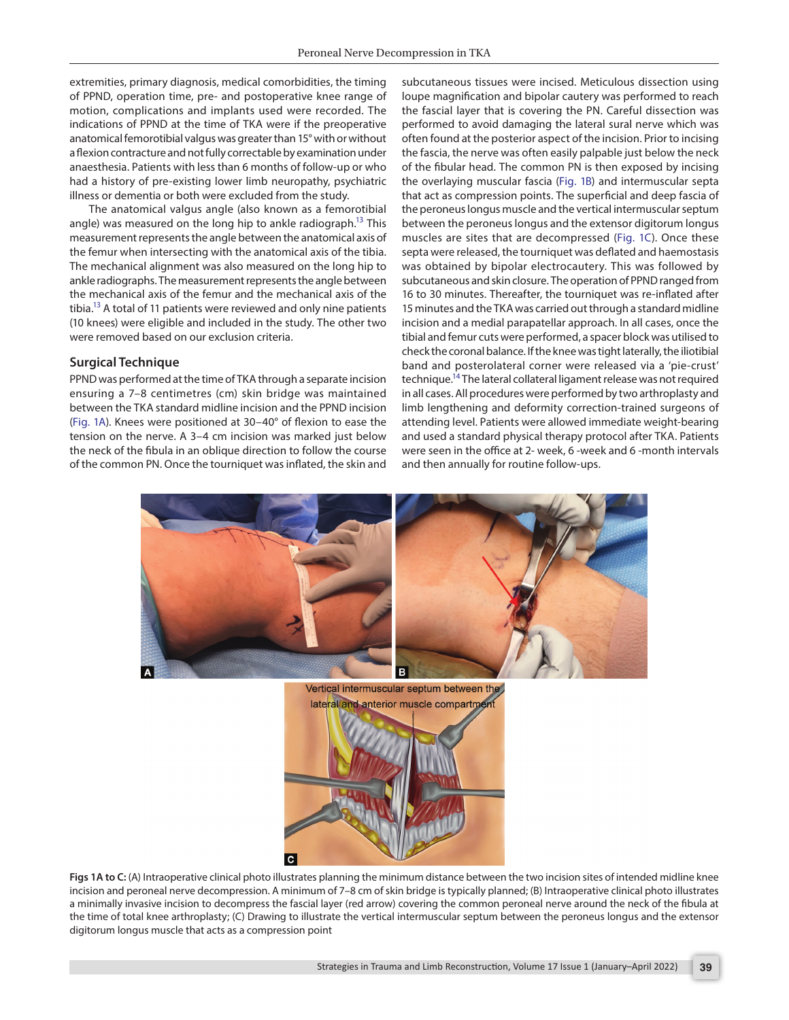extremities, primary diagnosis, medical comorbidities, the timing of PPND, operation time, pre- and postoperative knee range of motion, complications and implants used were recorded. The indications of PPND at the time of TKA were if the preoperative anatomical femorotibial valgus was greater than 15° with or without a flexion contracture and not fully correctable by examination under anaesthesia. Patients with less than 6 months of follow-up or who had a history of pre-existing lower limb neuropathy, psychiatric illness or dementia or both were excluded from the study.

The anatomical valgus angle (also known as a femorotibial angle) was measured on the long hip to ankle radiograph.<sup>13</sup> This measurement represents the angle between the anatomical axis of the femur when intersecting with the anatomical axis of the tibia. The mechanical alignment was also measured on the long hip to ankle radiographs. The measurement represents the angle between the mechanical axis of the femur and the mechanical axis of the tibia.<sup>13</sup> A total of 11 patients were reviewed and only nine patients (10 knees) were eligible and included in the study. The other two were removed based on our exclusion criteria.

#### **Surgical Technique**

PPND was performed at the time of TKA through a separate incision ensuring a 7–8 centimetres (cm) skin bridge was maintained between the TKA standard midline incision and the PPND incision [\(Fig. 1A](#page-1-0)). Knees were positioned at 30–40° of flexion to ease the tension on the nerve. A 3–4 cm incision was marked just below the neck of the fibula in an oblique direction to follow the course of the common PN. Once the tourniquet was inflated, the skin and

subcutaneous tissues were incised. Meticulous dissection using loupe magnification and bipolar cautery was performed to reach the fascial layer that is covering the PN. Careful dissection was performed to avoid damaging the lateral sural nerve which was often found at the posterior aspect of the incision. Prior to incising the fascia, the nerve was often easily palpable just below the neck of the fibular head. The common PN is then exposed by incising the overlaying muscular fascia [\(Fig. 1B](#page-1-0)) and intermuscular septa that act as compression points. The superficial and deep fascia of the peroneus longus muscle and the vertical intermuscular septum between the peroneus longus and the extensor digitorum longus muscles are sites that are decompressed [\(Fig. 1C\)](#page-1-0). Once these septa were released, the tourniquet was deflated and haemostasis was obtained by bipolar electrocautery. This was followed by subcutaneous and skin closure. The operation of PPND ranged from 16 to 30 minutes. Thereafter, the tourniquet was re-inflated after 15 minutes and the TKA was carried out through a standard midline incision and a medial parapatellar approach. In all cases, once the tibial and femur cuts were performed, a spacer block was utilised to check the coronal balance. If the knee was tight laterally, the iliotibial band and posterolateral corner were released via a 'pie-crust' technique.<sup>14</sup> The lateral collateral ligament release was not required in all cases. All procedures were performed by two arthroplasty and limb lengthening and deformity correction-trained surgeons of attending level. Patients were allowed immediate weight-bearing and used a standard physical therapy protocol after TKA. Patients were seen in the office at 2- week, 6 -week and 6 -month intervals and then annually for routine follow-ups.



<span id="page-1-0"></span>

**Figs 1A to C:** (A) Intraoperative clinical photo illustrates planning the minimum distance between the two incision sites of intended midline knee incision and peroneal nerve decompression. A minimum of 7–8 cm of skin bridge is typically planned; (B) Intraoperative clinical photo illustrates a minimally invasive incision to decompress the fascial layer (red arrow) covering the common peroneal nerve around the neck of the fibula at the time of total knee arthroplasty; (C) Drawing to illustrate the vertical intermuscular septum between the peroneus longus and the extensor digitorum longus muscle that acts as a compression point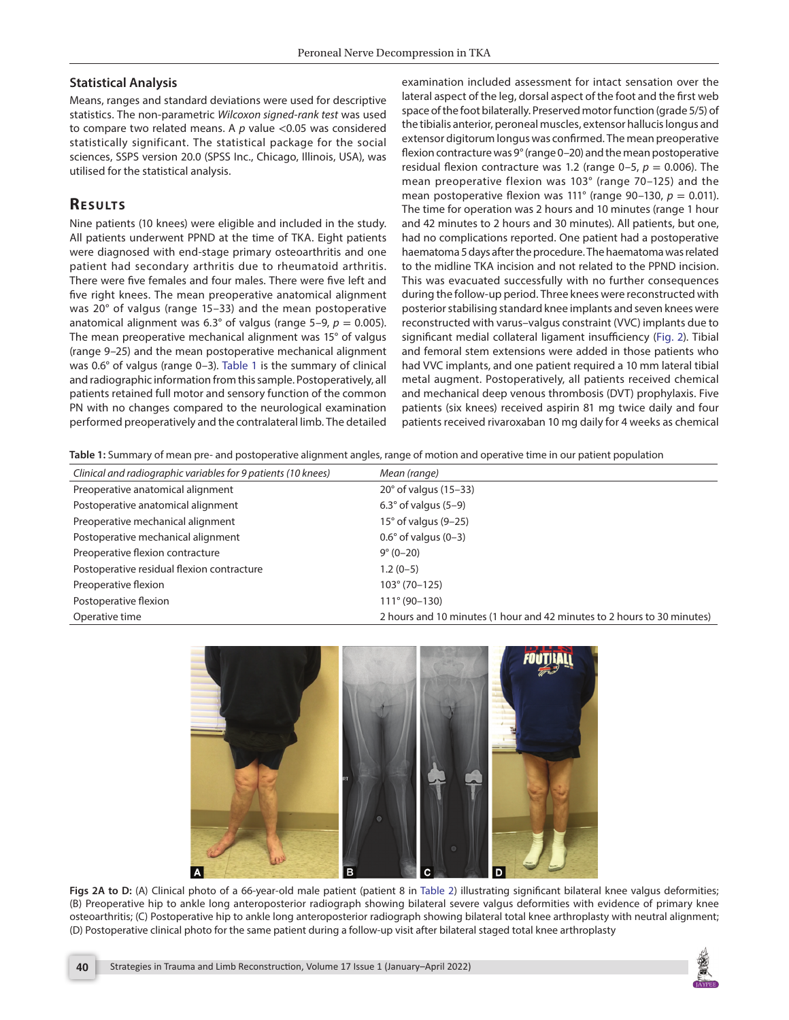## **Statistical Analysis**

Means, ranges and standard deviations were used for descriptive statistics. The non-parametric *Wilcoxon signed-rank test* was used to compare two related means. A *p* value <0.05 was considered statistically significant. The statistical package for the social sciences, SSPS version 20.0 (SPSS Inc., Chicago, Illinois, USA), was utilised for the statistical analysis.

## **RESULTS**

Nine patients (10 knees) were eligible and included in the study. All patients underwent PPND at the time of TKA. Eight patients were diagnosed with end-stage primary osteoarthritis and one patient had secondary arthritis due to rheumatoid arthritis. There were five females and four males. There were five left and five right knees. The mean preoperative anatomical alignment was 20° of valgus (range 15–33) and the mean postoperative anatomical alignment was 6.3° of valgus (range  $5-9$ ,  $p = 0.005$ ). The mean preoperative mechanical alignment was 15° of valgus (range 9–25) and the mean postoperative mechanical alignment was 0.6° of valgus (range 0–3). [Table 1](#page-2-0) is the summary of clinical and radiographic information from this sample. Postoperatively, all patients retained full motor and sensory function of the common PN with no changes compared to the neurological examination performed preoperatively and the contralateral limb. The detailed

examination included assessment for intact sensation over the lateral aspect of the leg, dorsal aspect of the foot and the first web space of the foot bilaterally. Preserved motor function (grade 5/5) of the tibialis anterior, peroneal muscles, extensor hallucis longus and extensor digitorum longus was confirmed. The mean preoperative flexion contracture was 9° (range 0–20) and the mean postoperative residual flexion contracture was 1.2 (range  $0-5$ ,  $p = 0.006$ ). The mean preoperative flexion was 103° (range 70–125) and the mean postoperative flexion was 111° (range 90–130,  $p = 0.011$ ). The time for operation was 2 hours and 10 minutes (range 1 hour and 42 minutes to 2 hours and 30 minutes). All patients, but one, had no complications reported. One patient had a postoperative haematoma 5 days after the procedure. The haematoma was related to the midline TKA incision and not related to the PPND incision. This was evacuated successfully with no further consequences during the follow-up period. Three knees were reconstructed with posterior stabilising standard knee implants and seven knees were reconstructed with varus–valgus constraint (VVC) implants due to significant medial collateral ligament insufficiency ([Fig. 2](#page-2-1)). Tibial and femoral stem extensions were added in those patients who had VVC implants, and one patient required a 10 mm lateral tibial metal augment. Postoperatively, all patients received chemical and mechanical deep venous thrombosis (DVT) prophylaxis. Five patients (six knees) received aspirin 81 mg twice daily and four patients received rivaroxaban 10 mg daily for 4 weeks as chemical

<span id="page-2-0"></span>**Table 1:** Summary of mean pre- and postoperative alignment angles, range of motion and operative time in our patient population

| Clinical and radiographic variables for 9 patients (10 knees) | Mean (range)                                                            |
|---------------------------------------------------------------|-------------------------------------------------------------------------|
| Preoperative anatomical alignment                             | $20^\circ$ of valgus (15-33)                                            |
| Postoperative anatomical alignment                            | $6.3^{\circ}$ of valgus (5-9)                                           |
| Preoperative mechanical alignment                             | $15^\circ$ of valgus (9-25)                                             |
| Postoperative mechanical alignment                            | $0.6^\circ$ of valgus (0-3)                                             |
| Preoperative flexion contracture                              | $9^{\circ}$ (0-20)                                                      |
| Postoperative residual flexion contracture                    | $1.2(0-5)$                                                              |
| Preoperative flexion                                          | $103^{\circ} (70 - 125)$                                                |
| Postoperative flexion                                         | $111^{\circ} (90 - 130)$                                                |
| Operative time                                                | 2 hours and 10 minutes (1 hour and 42 minutes to 2 hours to 30 minutes) |



<span id="page-2-1"></span>Figs 2A to D: (A) Clinical photo of a 66-year-old male patient (patient 8 in [Table 2](#page-4-0)) illustrating significant bilateral knee valgus deformities; (B) Preoperative hip to ankle long anteroposterior radiograph showing bilateral severe valgus deformities with evidence of primary knee osteoarthritis; (C) Postoperative hip to ankle long anteroposterior radiograph showing bilateral total knee arthroplasty with neutral alignment; (D) Postoperative clinical photo for the same patient during a follow-up visit after bilateral staged total knee arthroplasty

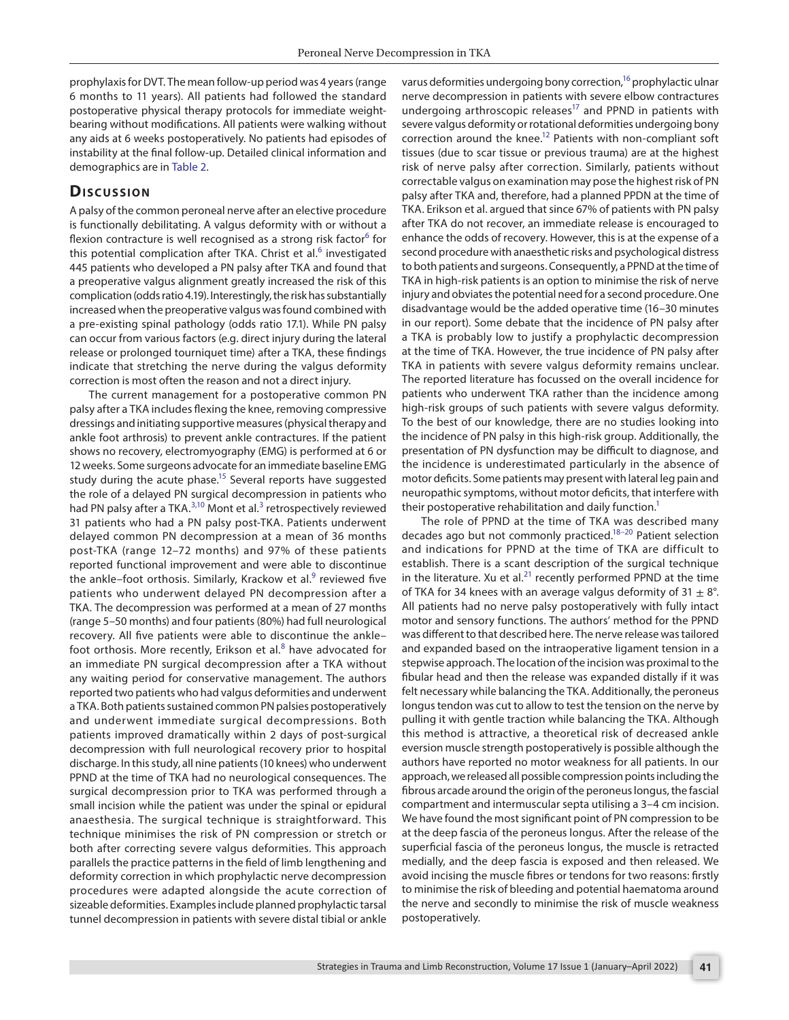prophylaxis for DVT. The mean follow-up period was 4 years (range 6 months to 11 years). All patients had followed the standard postoperative physical therapy protocols for immediate weightbearing without modifications. All patients were walking without any aids at 6 weeks postoperatively. No patients had episodes of instability at the final follow-up. Detailed clinical information and demographics are in [Table 2](#page-4-0).

### **Discussion**

A palsy of the common peroneal nerve after an elective procedure is functionally debilitating. A valgus deformity with or without a flexion contracture is well recognised as a strong risk factor<sup>[6](#page-5-4)</sup> for this potential complication after TKA. Christ et al.<sup>[6](#page-5-4)</sup> investigated 445 patients who developed a PN palsy after TKA and found that a preoperative valgus alignment greatly increased the risk of this complication (odds ratio 4.19). Interestingly, the risk has substantially increased when the preoperative valgus was found combined with a pre-existing spinal pathology (odds ratio 17.1). While PN palsy can occur from various factors (e.g. direct injury during the lateral release or prolonged tourniquet time) after a TKA, these findings indicate that stretching the nerve during the valgus deformity correction is most often the reason and not a direct injury.

The current management for a postoperative common PN palsy after a TKA includes flexing the knee, removing compressive dressings and initiating supportive measures (physical therapy and ankle foot arthrosis) to prevent ankle contractures. If the patient shows no recovery, electromyography (EMG) is performed at 6 or 12 weeks. Some surgeons advocate for an immediate baseline EMG study during the acute phase.<sup>15</sup> Several reports have suggested the role of a delayed PN surgical decompression in patients who had PN palsy after a TKA.<sup>[3,](#page-5-2)10</sup> Mont et al.<sup>3</sup> retrospectively reviewed 31 patients who had a PN palsy post-TKA. Patients underwent delayed common PN decompression at a mean of 36 months post-TKA (range 12–72 months) and 97% of these patients reported functional improvement and were able to discontinue the ankle-foot orthosis. Similarly, Krackow et al.<sup>[9](#page-5-14)</sup> reviewed five patients who underwent delayed PN decompression after a TKA. The decompression was performed at a mean of 27 months (range 5–50 months) and four patients (80%) had full neurological recovery. All five patients were able to discontinue the ankle– foot orthosis. More recently, Erikson et al. $8$  have advocated for an immediate PN surgical decompression after a TKA without any waiting period for conservative management. The authors reported two patients who had valgus deformities and underwent a TKA. Both patients sustained common PN palsies postoperatively and underwent immediate surgical decompressions. Both patients improved dramatically within 2 days of post-surgical decompression with full neurological recovery prior to hospital discharge. In this study, all nine patients (10 knees) who underwent PPND at the time of TKA had no neurological consequences. The surgical decompression prior to TKA was performed through a small incision while the patient was under the spinal or epidural anaesthesia. The surgical technique is straightforward. This technique minimises the risk of PN compression or stretch or both after correcting severe valgus deformities. This approach parallels the practice patterns in the field of limb lengthening and deformity correction in which prophylactic nerve decompression procedures were adapted alongside the acute correction of sizeable deformities. Examples include planned prophylactic tarsal tunnel decompression in patients with severe distal tibial or ankle

varus deformities undergoing bony correction,<sup>16</sup> prophylactic ulnar nerve decompression in patients with severe elbow contractures undergoing arthroscopic releases $17$  and PPND in patients with severe valgus deformity or rotational deformities undergoing bony correction around the knee.<sup>12</sup> Patients with non-compliant soft tissues (due to scar tissue or previous trauma) are at the highest risk of nerve palsy after correction. Similarly, patients without correctable valgus on examination may pose the highest risk of PN palsy after TKA and, therefore, had a planned PPDN at the time of TKA. Erikson et al. argued that since 67% of patients with PN palsy after TKA do not recover, an immediate release is encouraged to enhance the odds of recovery. However, this is at the expense of a second procedure with anaesthetic risks and psychological distress to both patients and surgeons. Consequently, a PPND at the time of TKA in high-risk patients is an option to minimise the risk of nerve injury and obviates the potential need for a second procedure. One disadvantage would be the added operative time (16–30 minutes in our report). Some debate that the incidence of PN palsy after a TKA is probably low to justify a prophylactic decompression at the time of TKA. However, the true incidence of PN palsy after TKA in patients with severe valgus deformity remains unclear. The reported literature has focussed on the overall incidence for patients who underwent TKA rather than the incidence among high-risk groups of such patients with severe valgus deformity. To the best of our knowledge, there are no studies looking into the incidence of PN palsy in this high-risk group. Additionally, the presentation of PN dysfunction may be difficult to diagnose, and the incidence is underestimated particularly in the absence of motor deficits. Some patients may present with lateral leg pain and neuropathic symptoms, without motor deficits, that interfere with their postoperative rehabilitation and daily function.<sup>1</sup>

The role of PPND at the time of TKA was described many decades ago but not commonly practiced[.18–](#page-5-17)[20](#page-5-18) Patient selection and indications for PPND at the time of TKA are difficult to establish. There is a scant description of the surgical technique in the literature. Xu et al.<sup>21</sup> recently performed PPND at the time of TKA for 34 knees with an average valgus deformity of 31  $\pm$  8°. All patients had no nerve palsy postoperatively with fully intact motor and sensory functions. The authors' method for the PPND was different to that described here. The nerve release was tailored and expanded based on the intraoperative ligament tension in a stepwise approach. The location of the incision was proximal to the fibular head and then the release was expanded distally if it was felt necessary while balancing the TKA. Additionally, the peroneus longus tendon was cut to allow to test the tension on the nerve by pulling it with gentle traction while balancing the TKA. Although this method is attractive, a theoretical risk of decreased ankle eversion muscle strength postoperatively is possible although the authors have reported no motor weakness for all patients. In our approach, we released all possible compression points including the fibrous arcade around the origin of the peroneus longus, the fascial compartment and intermuscular septa utilising a 3–4 cm incision. We have found the most significant point of PN compression to be at the deep fascia of the peroneus longus. After the release of the superficial fascia of the peroneus longus, the muscle is retracted medially, and the deep fascia is exposed and then released. We avoid incising the muscle fibres or tendons for two reasons: firstly to minimise the risk of bleeding and potential haematoma around the nerve and secondly to minimise the risk of muscle weakness postoperatively.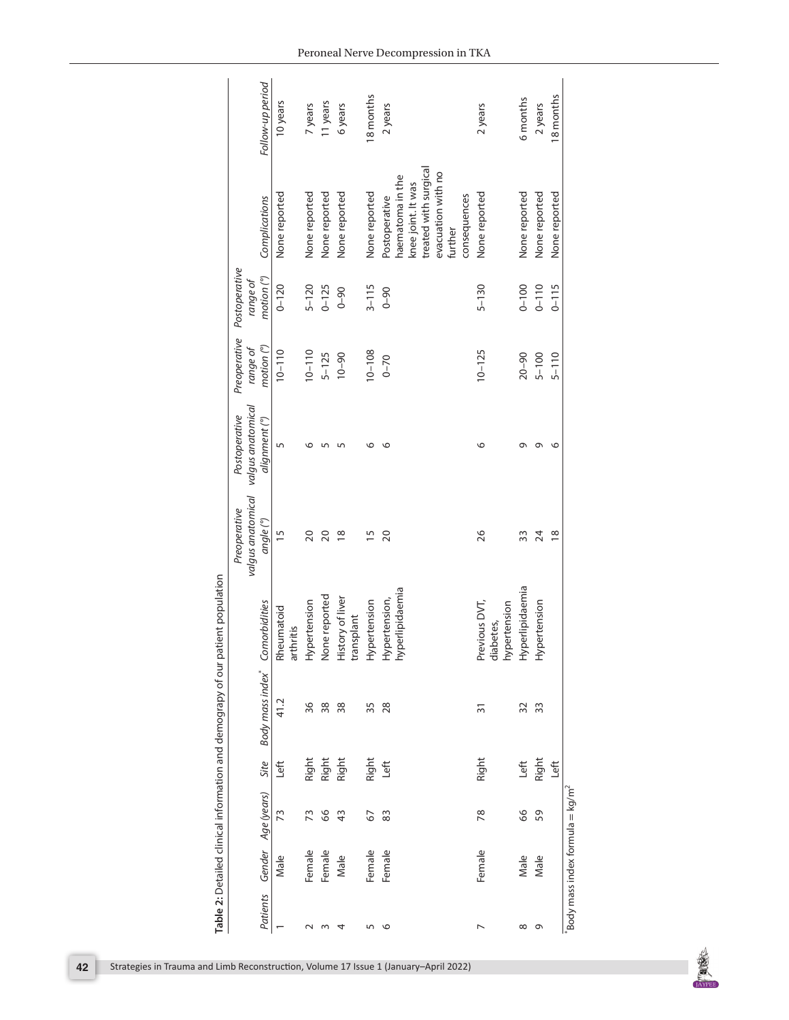| Follow-up period                                    | 10 years                | 7 years       | 11 years       | 6 years                        | 18 months     | 2 years                                                                                                                           | 2 years                                                       | 6 months      | 2 years         | 18 months      |                                             |
|-----------------------------------------------------|-------------------------|---------------|----------------|--------------------------------|---------------|-----------------------------------------------------------------------------------------------------------------------------------|---------------------------------------------------------------|---------------|-----------------|----------------|---------------------------------------------|
| Complications                                       | None reported           | None reported | None reported  | None reported                  | None reported | treated with surgical<br>evacuation with no<br>haematoma in the<br>knee joint. It was<br>consequences<br>Postoperative<br>further | None reported                                                 | None reported | None reported   | None reported  |                                             |
| Postoperative<br>motion <sup>o</sup><br>range of    | $0 - 120$               | $5 - 120$     | $0 - 125$      | $0 - 90$                       | $3 - 115$     | $0 - 90$                                                                                                                          | $5 - 130$                                                     | $0 - 100$     | $0 - 110$       | $0 - 115$      |                                             |
| Preoperative<br>motion (°)<br>range of              | $10 - 110$              | $10 - 110$    | $5 - 125$      | $0 - 90$                       | $10 - 108$    | $0 - 70$                                                                                                                          | $10 - 125$                                                    | $20 - 90$     | $5 - 100$       | $5 - 110$      |                                             |
| valgus anatomical<br>Postoperative<br>alignment (°) | 5                       | ৩             | 5              | 5                              | ৩             | $\circ$                                                                                                                           | $\circ$                                                       | G             | G               | O              |                                             |
| valgus anatomical<br>Preoperative<br>angle (°)      | 15                      | 20            | 20             | $\frac{8}{1}$                  | $\frac{5}{1}$ | 20                                                                                                                                | 26                                                            | 33            | $\overline{24}$ | $\frac{8}{18}$ |                                             |
| Comorbidities                                       | Rheumatoid<br>arthritis | Hypertension  | None reported  | History of liver<br>transplant | Hypertension  | Hypertension,<br>hyperlipidaemia                                                                                                  | diabetes,<br>hypertension<br>Hyperlipidaemia<br>Previous DVT, |               | Hypertension    |                |                                             |
| Body mass index*                                    | 41.2                    | 36            | 38             | 38                             | 35            | 28                                                                                                                                | $\overline{3}$                                                | 32            | 33              |                |                                             |
| Site                                                | Left                    |               | Right<br>Right | Right                          | Right         | Left                                                                                                                              | Right                                                         | Left          | Right           | Left           |                                             |
| Age (years)                                         | 73                      | 73            | 8              | $\frac{3}{4}$                  | 67            | 83                                                                                                                                | 78                                                            | 8             | 59              |                | Body mass index formula = kg/m <sup>2</sup> |
| Gender                                              | Male                    | Female        | Female         | Male                           | Female        | Female                                                                                                                            | Female                                                        | Male          | Male            |                |                                             |
| Patients                                            |                         | $\sim$        | m              | 4                              | 5             | $\circ$                                                                                                                           | $\overline{ }$                                                | ${}^{\circ}$  | $\sigma$        |                |                                             |

<span id="page-4-0"></span>

| -<br> <br> <br>                                                 |
|-----------------------------------------------------------------|
|                                                                 |
| Contract in the Manufacturer of the Manufacturer<br>D<br>S<br>S |
|                                                                 |
|                                                                 |
|                                                                 |
|                                                                 |
| במוסמות הואורי<br>;<br>;<br>;                                   |
|                                                                 |
|                                                                 |
|                                                                 |
|                                                                 |
| ころころ<br>۔<br>ا                                                  |